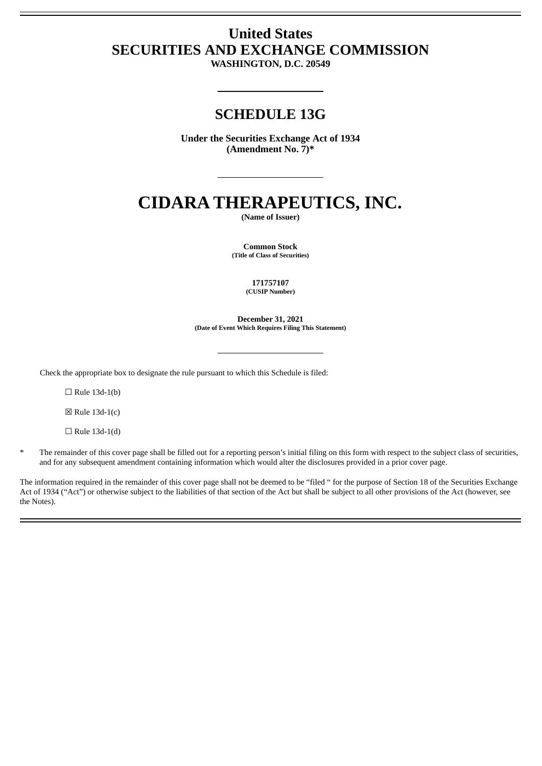# **United States SECURITIES AND EXCHANGE COMMISSION**

**WASHINGTON, D.C. 20549**

## **SCHEDULE 13G**

**Under the Securities Exchange Act of 1934 (Amendment No. 7)\***

# **CIDARA THERAPEUTICS, INC.**

**(Name of Issuer)**

**Common Stock (Title of Class of Securities)**

> **171757107 (CUSIP Number)**

**December 31, 2021 (Date of Event Which Requires Filing This Statement)**

Check the appropriate box to designate the rule pursuant to which this Schedule is filed:

 $\Box$  Rule 13d-1(b)

 $\boxtimes$  Rule 13d-1(c)

 $\Box$  Rule 13d-1(d)

The remainder of this cover page shall be filled out for a reporting person's initial filing on this form with respect to the subject class of securities, and for any subsequent amendment containing information which would alter the disclosures provided in a prior cover page.

The information required in the remainder of this cover page shall not be deemed to be "filed " for the purpose of Section 18 of the Securities Exchange Act of 1934 ("Act") or otherwise subject to the liabilities of that section of the Act but shall be subject to all other provisions of the Act (however, see the Notes).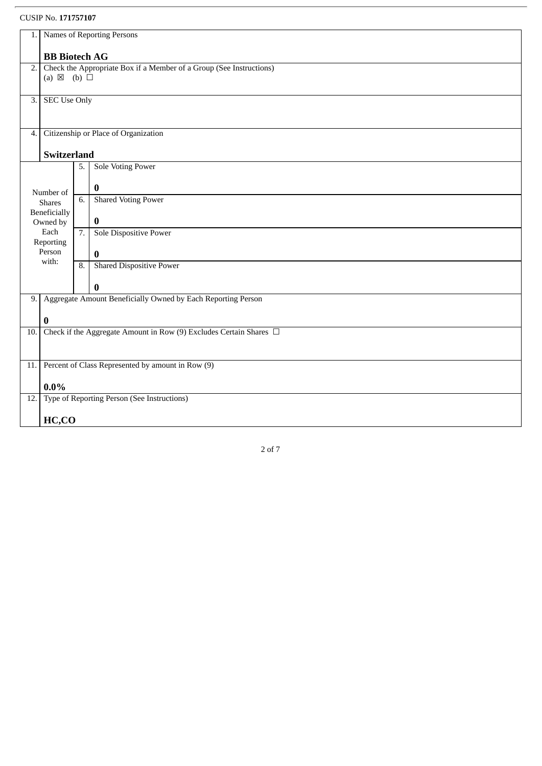CUSIP No. **171757107**

| 1.                                                       | Names of Reporting Persons                                                          |                                                                     |                                             |  |  |  |  |  |
|----------------------------------------------------------|-------------------------------------------------------------------------------------|---------------------------------------------------------------------|---------------------------------------------|--|--|--|--|--|
|                                                          | <b>BB</b> Biotech AG                                                                |                                                                     |                                             |  |  |  |  |  |
| 2.                                                       |                                                                                     | Check the Appropriate Box if a Member of a Group (See Instructions) |                                             |  |  |  |  |  |
|                                                          | (a) $\boxtimes$ (b) $\Box$                                                          |                                                                     |                                             |  |  |  |  |  |
|                                                          |                                                                                     |                                                                     |                                             |  |  |  |  |  |
| $\overline{3}$ .                                         | <b>SEC Use Only</b>                                                                 |                                                                     |                                             |  |  |  |  |  |
|                                                          |                                                                                     |                                                                     |                                             |  |  |  |  |  |
| 4.                                                       | Citizenship or Place of Organization                                                |                                                                     |                                             |  |  |  |  |  |
|                                                          | Switzerland                                                                         |                                                                     |                                             |  |  |  |  |  |
|                                                          |                                                                                     | 5.                                                                  | <b>Sole Voting Power</b>                    |  |  |  |  |  |
| Number of                                                |                                                                                     |                                                                     |                                             |  |  |  |  |  |
|                                                          |                                                                                     | 6.                                                                  | $\bf{0}$                                    |  |  |  |  |  |
|                                                          | <b>Shares</b><br>Beneficially<br>Owned by                                           |                                                                     | <b>Shared Voting Power</b>                  |  |  |  |  |  |
|                                                          |                                                                                     |                                                                     | $\bf{0}$                                    |  |  |  |  |  |
|                                                          | Each                                                                                | 7.                                                                  | Sole Dispositive Power                      |  |  |  |  |  |
|                                                          | Reporting<br>Person                                                                 |                                                                     |                                             |  |  |  |  |  |
|                                                          | with:                                                                               | 8.                                                                  | $\bf{0}$<br><b>Shared Dispositive Power</b> |  |  |  |  |  |
|                                                          |                                                                                     |                                                                     |                                             |  |  |  |  |  |
|                                                          |                                                                                     |                                                                     | $\bf{0}$                                    |  |  |  |  |  |
| 9.                                                       |                                                                                     | Aggregate Amount Beneficially Owned by Each Reporting Person        |                                             |  |  |  |  |  |
|                                                          |                                                                                     |                                                                     |                                             |  |  |  |  |  |
| 10.                                                      | $\bf{0}$<br>Check if the Aggregate Amount in Row (9) Excludes Certain Shares $\Box$ |                                                                     |                                             |  |  |  |  |  |
|                                                          |                                                                                     |                                                                     |                                             |  |  |  |  |  |
|                                                          |                                                                                     |                                                                     |                                             |  |  |  |  |  |
| Percent of Class Represented by amount in Row (9)<br>11. |                                                                                     |                                                                     |                                             |  |  |  |  |  |
|                                                          | $0.0\%$                                                                             |                                                                     |                                             |  |  |  |  |  |
| Type of Reporting Person (See Instructions)<br>12.       |                                                                                     |                                                                     |                                             |  |  |  |  |  |
|                                                          | HC,CO                                                                               |                                                                     |                                             |  |  |  |  |  |
|                                                          |                                                                                     |                                                                     |                                             |  |  |  |  |  |

2 of 7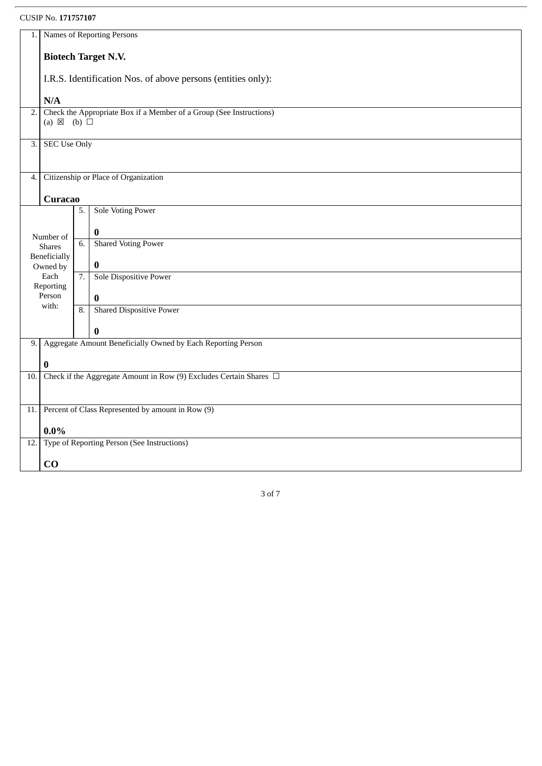### CUSIP No. **171757107**

| 1.                                                                        | Names of Reporting Persons                                   |    |                                                                         |  |  |  |  |
|---------------------------------------------------------------------------|--------------------------------------------------------------|----|-------------------------------------------------------------------------|--|--|--|--|
|                                                                           | <b>Biotech Target N.V.</b>                                   |    |                                                                         |  |  |  |  |
|                                                                           | I.R.S. Identification Nos. of above persons (entities only): |    |                                                                         |  |  |  |  |
|                                                                           | N/A                                                          |    |                                                                         |  |  |  |  |
| Check the Appropriate Box if a Member of a Group (See Instructions)<br>2. |                                                              |    |                                                                         |  |  |  |  |
|                                                                           | (a) $\boxtimes$ (b) $\square$                                |    |                                                                         |  |  |  |  |
| <b>SEC Use Only</b><br>$\overline{3}$ .                                   |                                                              |    |                                                                         |  |  |  |  |
|                                                                           |                                                              |    |                                                                         |  |  |  |  |
|                                                                           | Citizenship or Place of Organization<br>4.                   |    |                                                                         |  |  |  |  |
|                                                                           | <b>Curacao</b>                                               |    |                                                                         |  |  |  |  |
|                                                                           |                                                              | 5. | <b>Sole Voting Power</b>                                                |  |  |  |  |
|                                                                           | Number of                                                    |    | $\boldsymbol{0}$                                                        |  |  |  |  |
|                                                                           | <b>Shares</b><br>Beneficially                                | 6. | <b>Shared Voting Power</b>                                              |  |  |  |  |
|                                                                           | Owned by                                                     |    | $\bf{0}$                                                                |  |  |  |  |
|                                                                           | Each<br>Reporting                                            | 7. | Sole Dispositive Power                                                  |  |  |  |  |
|                                                                           | Person<br>with:                                              |    | $\bf{0}$                                                                |  |  |  |  |
|                                                                           |                                                              | 8. | <b>Shared Dispositive Power</b>                                         |  |  |  |  |
|                                                                           |                                                              |    | $\bf{0}$                                                                |  |  |  |  |
| 9.                                                                        |                                                              |    | Aggregate Amount Beneficially Owned by Each Reporting Person            |  |  |  |  |
|                                                                           | 0                                                            |    |                                                                         |  |  |  |  |
| 10.                                                                       |                                                              |    | Check if the Aggregate Amount in Row (9) Excludes Certain Shares $\Box$ |  |  |  |  |
|                                                                           |                                                              |    |                                                                         |  |  |  |  |
| 11.                                                                       | Percent of Class Represented by amount in Row (9)            |    |                                                                         |  |  |  |  |
|                                                                           | $0.0\%$                                                      |    |                                                                         |  |  |  |  |
|                                                                           | 12. Type of Reporting Person (See Instructions)              |    |                                                                         |  |  |  |  |
|                                                                           | CO                                                           |    |                                                                         |  |  |  |  |

3 of 7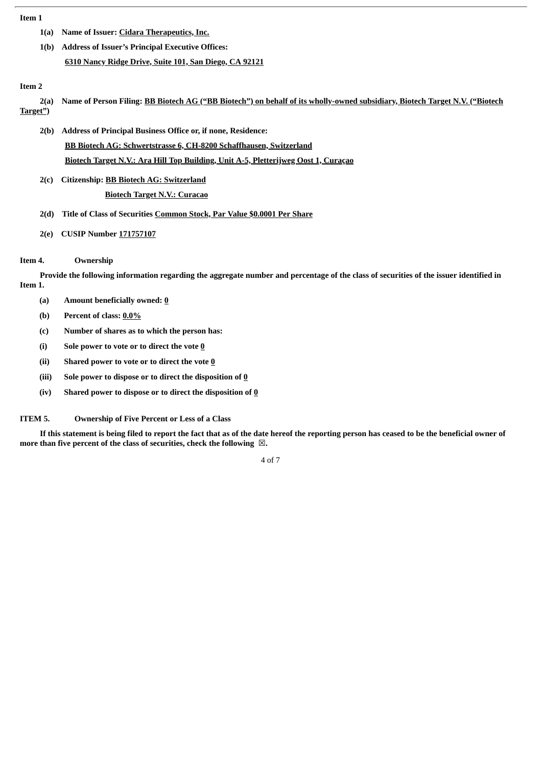#### **Item 1**

- **1(a) Name of Issuer: Cidara Therapeutics, Inc.**
- **1(b) Address of Issuer's Principal Executive Offices: 6310 Nancy Ridge Drive, Suite 101, San Diego, CA 92121**

#### **Item 2**

- 2(a) Name of Person Filing: BB Biotech AG ("BB Biotech") on behalf of its wholly-owned subsidiary, Biotech Target N.V. ("Biotech **Target")**
	- **2(b) Address of Principal Business Office or, if none, Residence: BB Biotech AG: Schwertstrasse 6, CH-8200 Schaffhausen, Switzerland Biotech Target N.V.: Ara Hill Top Building, Unit A-5, Pletterijweg Oost 1, Curaçao**
	- **2(c) Citizenship: BB Biotech AG: Switzerland Biotech Target N.V.: Curacao**
	- **2(d) Title of Class of Securities Common Stock, Par Value \$0.0001 Per Share**
	- **2(e) CUSIP Number 171757107**

#### **Item 4. Ownership**

Provide the following information regarding the aggregate number and percentage of the class of securities of the issuer identified in **Item 1.**

- **(a) Amount beneficially owned: 0**
- **(b) Percent of class: 0.0%**
- **(c) Number of shares as to which the person has:**
- **(i) Sole power to vote or to direct the vote 0**
- **(ii) Shared power to vote or to direct the vote 0**
- **(iii) Sole power to dispose or to direct the disposition of 0**
- **(iv) Shared power to dispose or to direct the disposition of 0**

**ITEM 5. Ownership of Five Percent or Less of a Class**

If this statement is being filed to report the fact that as of the date hereof the reporting person has ceased to be the beneficial owner of **more than five percent of the class of securities, check the following** ☒**.**

4 of 7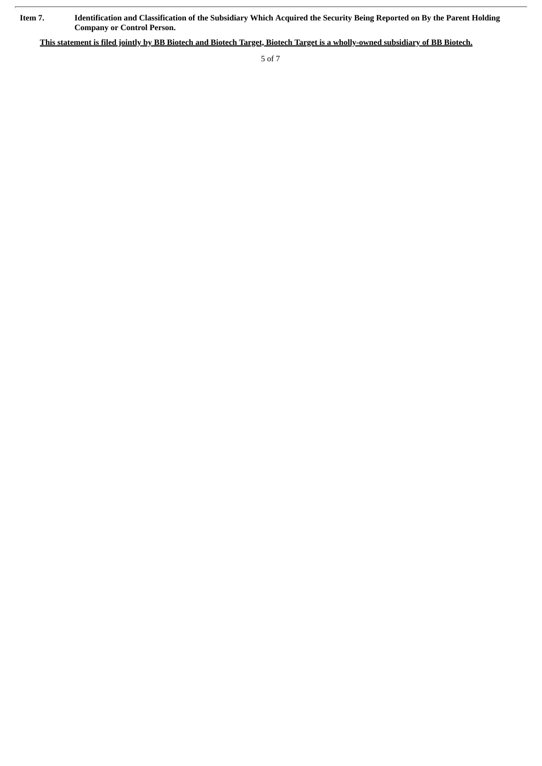Item 7. Identification and Classification of the Subsidiary Which Acquired the Security Being Reported on By the Parent Holding **Company or Control Person.**

This statement is filed jointly by BB Biotech and Biotech Target, Biotech Target is a wholly-owned subsidiary of BB Biotech.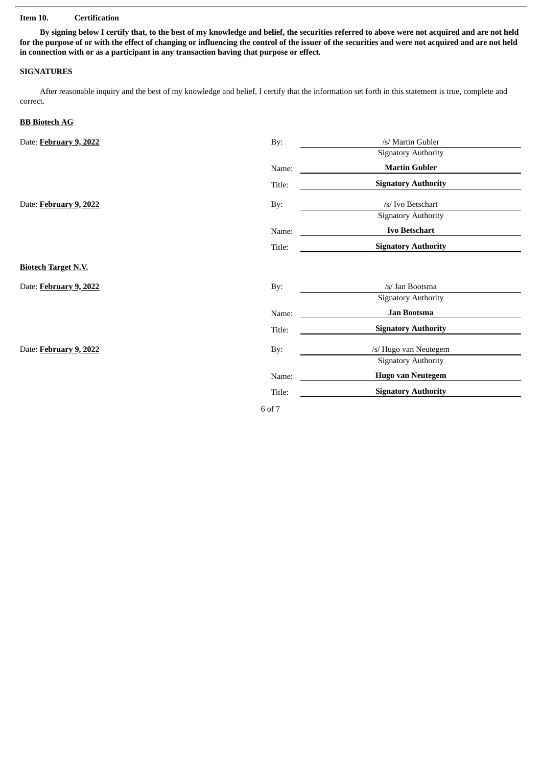#### **Item 10. Certification**

By signing below I certify that, to the best of my knowledge and belief, the securities referred to above were not acquired and are not held for the purpose of or with the effect of changing or influencing the control of the issuer of the securities and were not acquired and are not held **in connection with or as a participant in any transaction having that purpose or effect.**

#### **SIGNATURES**

After reasonable inquiry and the best of my knowledge and belief, I certify that the information set forth in this statement is true, complete and correct.

#### **BB Biotech AG**

| Date: February 9, 2022     | By:    | /s/ Martin Gubler          |  |
|----------------------------|--------|----------------------------|--|
|                            |        | <b>Signatory Authority</b> |  |
|                            | Name:  | <b>Martin Gubler</b>       |  |
|                            | Title: | <b>Signatory Authority</b> |  |
| Date: February 9, 2022     | By:    | /s/ Ivo Betschart          |  |
|                            |        | <b>Signatory Authority</b> |  |
|                            | Name:  | <b>Ivo Betschart</b>       |  |
|                            | Title: | <b>Signatory Authority</b> |  |
| <b>Biotech Target N.V.</b> |        |                            |  |
| Date: February 9, 2022     | By:    | /s/ Jan Bootsma            |  |
|                            |        | <b>Signatory Authority</b> |  |
|                            | Name:  | Jan Bootsma                |  |
|                            | Title: | <b>Signatory Authority</b> |  |
| Date: February 9, 2022     | By:    | /s/ Hugo van Neutegem      |  |
|                            |        | <b>Signatory Authority</b> |  |
|                            | Name:  | <b>Hugo van Neutegem</b>   |  |
|                            | Title: | <b>Signatory Authority</b> |  |
|                            | 6 of 7 |                            |  |